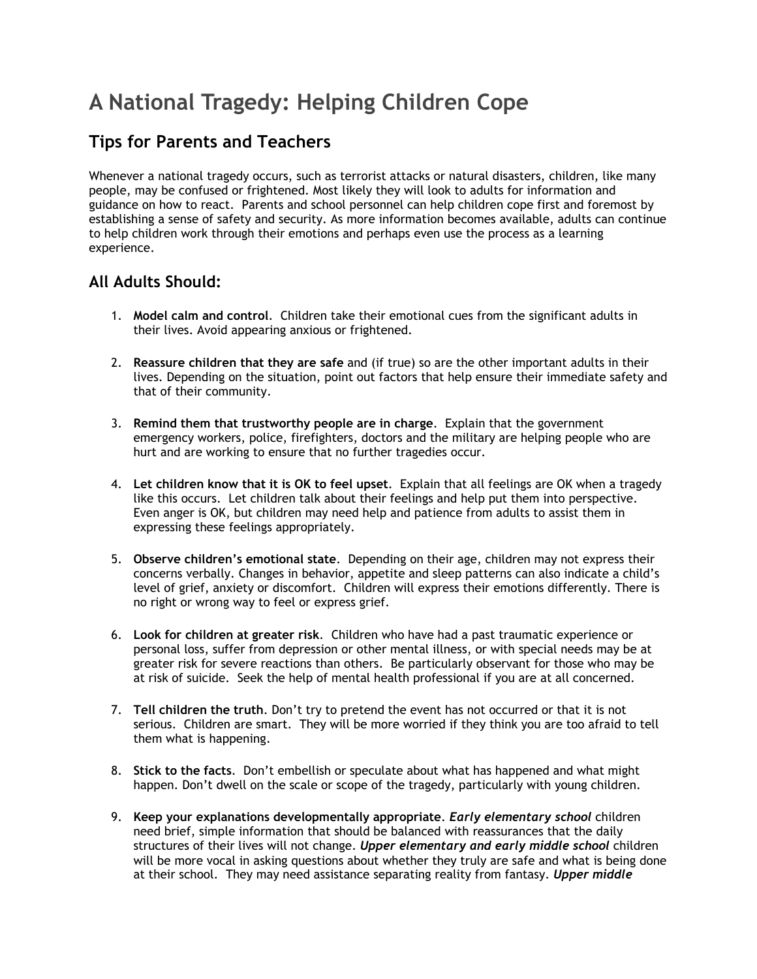# **A National Tragedy: Helping Children Cope**

## **Tips for Parents and Teachers**

Whenever a national tragedy occurs, such as terrorist attacks or natural disasters, children, like many people, may be confused or frightened. Most likely they will look to adults for information and guidance on how to react. Parents and school personnel can help children cope first and foremost by establishing a sense of safety and security. As more information becomes available, adults can continue to help children work through their emotions and perhaps even use the process as a learning experience.

### **All Adults Should:**

- 1. **Model calm and control**. Children take their emotional cues from the significant adults in their lives. Avoid appearing anxious or frightened.
- 2. **Reassure children that they are safe** and (if true) so are the other important adults in their lives. Depending on the situation, point out factors that help ensure their immediate safety and that of their community.
- 3. **Remind them that trustworthy people are in charge**. Explain that the government emergency workers, police, firefighters, doctors and the military are helping people who are hurt and are working to ensure that no further tragedies occur.
- 4. **Let children know that it is OK to feel upset**. Explain that all feelings are OK when a tragedy like this occurs. Let children talk about their feelings and help put them into perspective. Even anger is OK, but children may need help and patience from adults to assist them in expressing these feelings appropriately.
- 5. **Observe children's emotional state**. Depending on their age, children may not express their concerns verbally. Changes in behavior, appetite and sleep patterns can also indicate a child's level of grief, anxiety or discomfort. Children will express their emotions differently. There is no right or wrong way to feel or express grief.
- 6. **Look for children at greater risk**. Children who have had a past traumatic experience or personal loss, suffer from depression or other mental illness, or with special needs may be at greater risk for severe reactions than others. Be particularly observant for those who may be at risk of suicide. Seek the help of mental health professional if you are at all concerned.
- 7. **Tell children the truth**. Don't try to pretend the event has not occurred or that it is not serious. Children are smart. They will be more worried if they think you are too afraid to tell them what is happening.
- 8. **Stick to the facts**. Don't embellish or speculate about what has happened and what might happen. Don't dwell on the scale or scope of the tragedy, particularly with young children.
- 9. **Keep your explanations developmentally appropriate**. *Early elementary school* children need brief, simple information that should be balanced with reassurances that the daily structures of their lives will not change. *Upper elementary and early middle school* children will be more vocal in asking questions about whether they truly are safe and what is being done at their school. They may need assistance separating reality from fantasy. *Upper middle*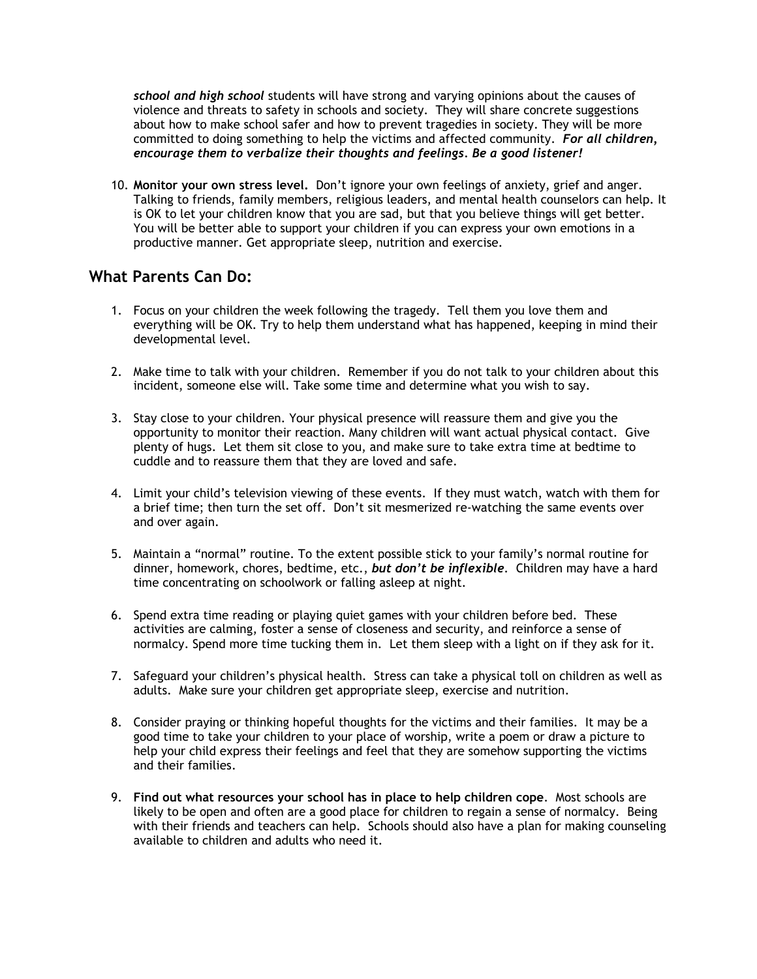*school and high school* students will have strong and varying opinions about the causes of violence and threats to safety in schools and society. They will share concrete suggestions about how to make school safer and how to prevent tragedies in society. They will be more committed to doing something to help the victims and affected community. *For all children, encourage them to verbalize their thoughts and feelings. Be a good listener!*

10. **Monitor your own stress level.** Don't ignore your own feelings of anxiety, grief and anger. Talking to friends, family members, religious leaders, and mental health counselors can help. It is OK to let your children know that you are sad, but that you believe things will get better. You will be better able to support your children if you can express your own emotions in a productive manner. Get appropriate sleep, nutrition and exercise.

#### **What Parents Can Do:**

- 1. Focus on your children the week following the tragedy. Tell them you love them and everything will be OK. Try to help them understand what has happened, keeping in mind their developmental level.
- 2. Make time to talk with your children. Remember if you do not talk to your children about this incident, someone else will. Take some time and determine what you wish to say.
- 3. Stay close to your children. Your physical presence will reassure them and give you the opportunity to monitor their reaction. Many children will want actual physical contact. Give plenty of hugs. Let them sit close to you, and make sure to take extra time at bedtime to cuddle and to reassure them that they are loved and safe.
- 4. Limit your child's television viewing of these events. If they must watch, watch with them for a brief time; then turn the set off. Don't sit mesmerized re-watching the same events over and over again.
- 5. Maintain a "normal" routine. To the extent possible stick to your family's normal routine for dinner, homework, chores, bedtime, etc., *but don't be inflexible*. Children may have a hard time concentrating on schoolwork or falling asleep at night.
- 6. Spend extra time reading or playing quiet games with your children before bed. These activities are calming, foster a sense of closeness and security, and reinforce a sense of normalcy. Spend more time tucking them in. Let them sleep with a light on if they ask for it.
- 7. Safeguard your children's physical health. Stress can take a physical toll on children as well as adults. Make sure your children get appropriate sleep, exercise and nutrition.
- 8. Consider praying or thinking hopeful thoughts for the victims and their families. It may be a good time to take your children to your place of worship, write a poem or draw a picture to help your child express their feelings and feel that they are somehow supporting the victims and their families.
- 9. **Find out what resources your school has in place to help children cope**. Most schools are likely to be open and often are a good place for children to regain a sense of normalcy. Being with their friends and teachers can help. Schools should also have a plan for making counseling available to children and adults who need it.